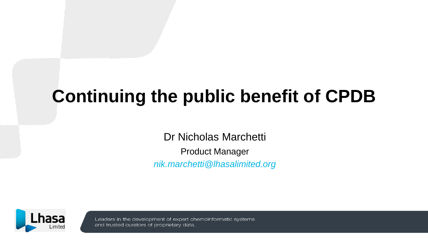# **Continuing the public benefit of CPDB**

Dr Nicholas Marchetti

Product Manager *nik.marchetti@lhasalimited.org*



Leaders in the development of expert chemoinformatic systems and trusted curators of proprietary data.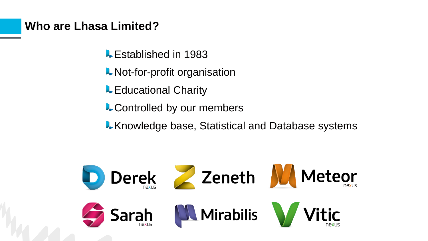### **Who are Lhasa Limited?**

- **L** Established in 1983
- **Not-for-profit organisation**
- **L** Educational Charity
- **L** Controlled by our members
- **K** Knowledge base, Statistical and Database systems

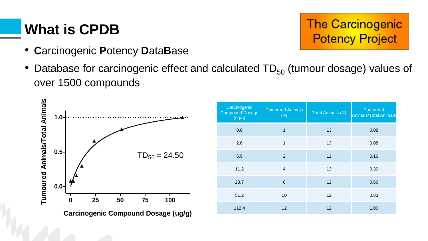## **What is CPDB**

- **C**arcinogenic **P**otency **D**ata**B**ase
- Database for carcinogenic effect and calculated  $TD_{50}$  (tumour dosage) values of over 1500 compounds



| Carcinogenic<br><b>Compound Dosage</b><br>(ug/g) | <b>Tumoured Animals</b><br>(N) | <b>Total Animals (N)</b> | <b>Tumoured</b><br>Animals/Total Animals |
|--------------------------------------------------|--------------------------------|--------------------------|------------------------------------------|
| 0.0                                              | 1                              | 13                       | 0.08                                     |
| 2.6                                              | 1                              | 13                       | 0.08                                     |
| 5.9                                              | $\overline{2}$                 | 12                       | 0.16                                     |
| 11.2                                             | $\overline{4}$                 | 13                       | 0.30                                     |
| 23.7                                             | 8                              | 12                       | 0.66                                     |
| 51.2                                             | 10                             | 12                       | 0.83                                     |
| 112.4                                            | 12                             | 12                       | 1.00                                     |

**The Carcinogenic** 

**Potency Project**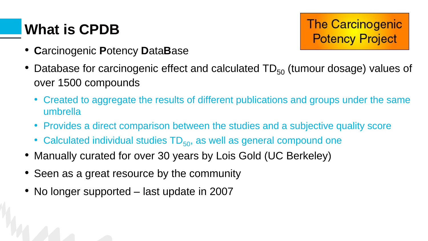## **What is CPDB**

**The Carcinogenic Potency Project** 

- **C**arcinogenic **P**otency **D**ata**B**ase
- Database for carcinogenic effect and calculated  $TD_{50}$  (tumour dosage) values of over 1500 compounds
	- Created to aggregate the results of different publications and groups under the same umbrella
	- Provides a direct comparison between the studies and a subjective quality score
	- Calculated individual studies  $TD_{50}$ , as well as general compound one
- Manually curated for over 30 years by Lois Gold (UC Berkeley)
- Seen as a great resource by the community
- No longer supported last update in 2007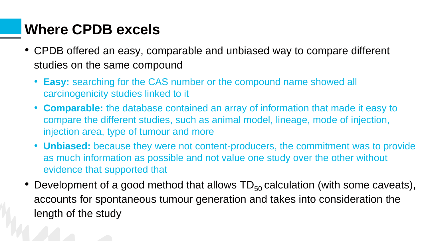### **Where CPDB excels**

- CPDB offered an easy, comparable and unbiased way to compare different studies on the same compound
	- **Easy:** searching for the CAS number or the compound name showed all carcinogenicity studies linked to it
	- **Comparable:** the database contained an array of information that made it easy to compare the different studies, such as animal model, lineage, mode of injection, injection area, type of tumour and more
	- **Unbiased:** because they were not content-producers, the commitment was to provide as much information as possible and not value one study over the other without evidence that supported that
- Development of a good method that allows  $TD_{50}$  calculation (with some caveats), accounts for spontaneous tumour generation and takes into consideration the length of the study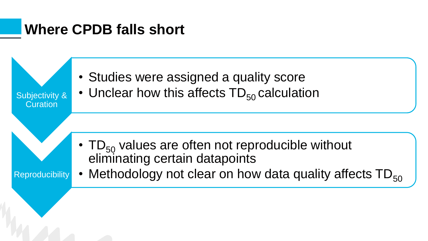### **Where CPDB falls short**

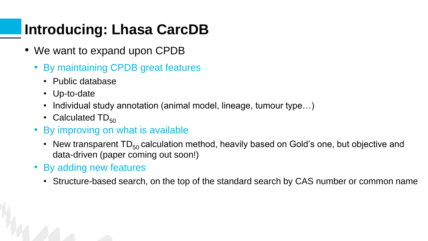## **Introducing: Lhasa CarcDB**

- We want to expand upon CPDB
	- By maintaining CPDB great features
		- Public database
		- Up-to-date
		- Individual study annotation (animal model, lineage, tumour type...)
		- Calculated  $TD_{50}$
	- By improving on what is available
		- New transparent  $TD_{50}$  calculation method, heavily based on Gold's one, but objective and data-driven (paper coming out soon!)
	- By adding new features
		- Structure-based search, on the top of the standard search by CAS number or common name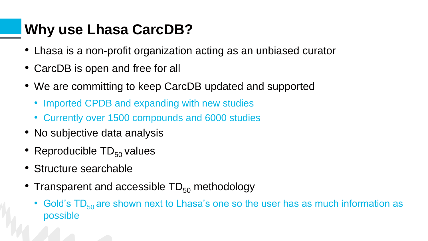## **Why use Lhasa CarcDB?**

- Lhasa is a non-profit organization acting as an unbiased curator
- CarcDB is open and free for all
- We are committing to keep CarcDB updated and supported
	- Imported CPDB and expanding with new studies
	- Currently over 1500 compounds and 6000 studies
- No subjective data analysis
- Reproducible  $TD_{50}$  values
- Structure searchable
- Transparent and accessible  $TD_{50}$  methodology
	- Gold's  $TD_{50}$  are shown next to Lhasa's one so the user has as much information as possible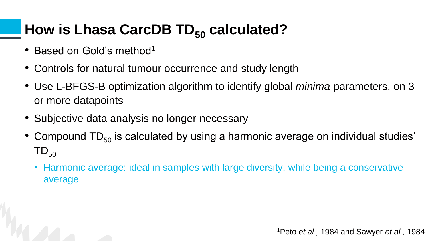# **How is Lhasa CarcDB TD<sub>50</sub> calculated?**

- Based on Gold's method<sup>1</sup>
- Controls for natural tumour occurrence and study length
- Use L-BFGS-B optimization algorithm to identify global *minima* parameters, on 3 or more datapoints
- Subjective data analysis no longer necessary
- Compound  $TD_{50}$  is calculated by using a harmonic average on individual studies'  $TD_{50}$ 
	- Harmonic average: ideal in samples with large diversity, while being a conservative average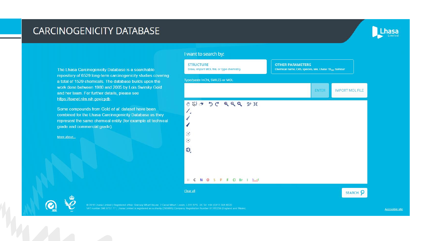### **CARCINOGENICITY DATABASE**



The Lhasa Carcinogenicity Database is a searchable repository of 6529 long-term carcinogenicity studies covering a total of 1529 chemicals. The database builds upon the work done between 1980 and 2005 by Lois Swirsky Gold and her team. For further details, please see https://toxnet.nlm.nih.gov/cpdb.

Some compounds from Gold et al. dataset have been combined for the Lhasa Carcinogenicity Database as they represent the same chemical entity (for example at technical grade and commercial grade).

More about...

#### I want to search by:



VAT number 396 8737 77 | Lhasa Limited is registered as a charity (290866)| Company Registration Number 01765239 (England and Wales).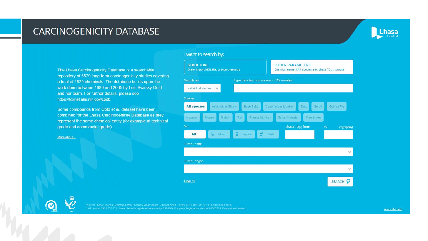### **CARCINOGENICITY DATABASE**



The Lhasa Carcinogenicity Database is a searchable repository of 6529 long-term carcinogenicity studies covering a total of 1529 chemicals. The database builds upon the work done between 1980 and 2005 by Lois Swirsky Gold and her team. For further details, please see https://toxnet.nlm.nih.gov/cpdb.

Some compounds from Gold et al. dataset have been combined for the Lhasa Carcinogenicity Database as they represent the same chemical entity (for example at technical grade and commercial grade).

More about...

#### I want to search by:

| <b>STRUCTURE</b><br>Draw, import MOL file, or type chemistry | <b>OTHER PARAMETERS</b><br>Chemical name, CAS, species, sex, Lhasa TD <sub>50</sub> , tumour |
|--------------------------------------------------------------|----------------------------------------------------------------------------------------------|
| Search on                                                    | Type the chemical name or CAS number                                                         |
| Individual studies<br>$\sim$                                 |                                                                                              |
| <b>Species</b>                                               |                                                                                              |
| <b>All species</b><br>Asian Musk Shrew<br><b>Bush Baby</b>   | Cynomolgus Monkey<br>Dog<br>Gerbil<br>Guinea Pig                                             |
| Rabbit<br>Mouse.<br>Rat<br>Hamster                           | Rhesus Monkey<br><b>Syrian Hamster</b><br><b>Tree Shrew</b>                                  |
| <b>Sex</b>                                                   | Lhasa TD <sub>50</sub> from<br>to<br>(mg/kg/day)                                             |
| $\mathcal{G}^{\mathcal{G}}$<br>Q<br>Mixed<br>All<br>Female   | $\bullet$<br>Male                                                                            |
| <b>Tumour site</b>                                           |                                                                                              |
|                                                              | $\checkmark$                                                                                 |
| <b>Tumour type</b>                                           |                                                                                              |
|                                                              | $\checkmark$                                                                                 |
| Clear all                                                    | SEARCH P                                                                                     |

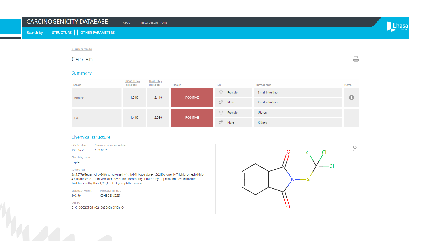| <b>CARCINOGENICITY DATABASE</b> |  |                              | <b>ABOUT</b><br><b>FIELD DESCRIPTIONS</b> |  |  |
|---------------------------------|--|------------------------------|-------------------------------------------|--|--|
| Search by                       |  | STRUCTURE   OTHER PARAMETERS |                                           |  |  |
|                                 |  | < Back to resul              |                                           |  |  |

### Captan

#### Summary

| Species | $Lhasa TD_{50}$<br>(mg/kg/day) | Gold TD <sub>50</sub><br>(mg/kg/day) | Result          | <b>Sex</b>       | Tumour sites    | Notes                    |  |
|---------|--------------------------------|--------------------------------------|-----------------|------------------|-----------------|--------------------------|--|
|         | 1,010                          | 2,110                                | <b>POSITIVE</b> | Female<br>Y      | Small intestine | $\bullet$                |  |
| Mouse   |                                |                                      |                 | $\sigma$<br>Male | Small intestine |                          |  |
| Rat     |                                |                                      | <b>POSITIVE</b> | Female<br>Υ      | Uterus          |                          |  |
|         | 1,410                          | 2,080                                |                 | $\sigma$<br>Male | Kidney          | $\overline{\phantom{0}}$ |  |

#### Chemical structure

CAS Number Chemistry unique identifier

133-06-2 133-06-2

Chemistry name

Captan

#### Synonym(s)

3a,4,7,7a-Tetrahydro-2-[(trichloromethyl)thio]-1H-isoindole-1,3(2H)-dione; N-Trichloromethylthio-4-cyclohexene-1,2-dicarboximide; N-Trichloromethylthiotetrahydrophthalimide; Orthocide; Trichloromethylthio-1,2,5,6-tetrahydrophthalamide

Molecular weight Molecular formula

300.59 C9H8Cl3NO2S

SMILES C1C=CCC2C1C(N(C2=O)SC(Cl)(Cl)Cl)=O



₿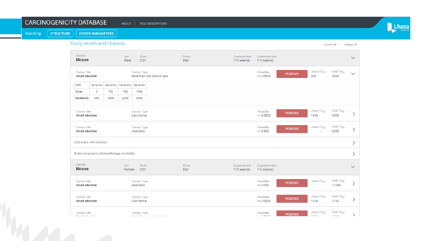#### **CARCINOGENICITY DATABASE** ABOUT | FIELD DESCRIPTIONS

**STRUCTURE** Search by

**OTHER PARAMETERS** 



#### Study details and citations expand all collapse all Species Sex Strain Route Experiment time Exposure time  $\checkmark$ **Mouse** Male Diet CD1  $113$  week(s) 113 week(s) Lhasa TD<sub>50</sub> Gold  $TD_{50}$ **Tumour Site Tumour Type** Probability  $\checkmark$ **POSITIVE**  $\leq 0.0005$ 956 **Small intestine** More than one tumour type 2690 Unit mg/kg/day | mg/kg/day | mg/kg/day | mg/kg/day Dose  $\circ$ 703 1180 1890 Incidence 3/80 19/80 22/80 39/80 Gold  $TD_{50}$ Lhasa  $TD_{50}$ Tumour Site **Tumour Type** Probability **POSITIVE**  $\mathcal{P}$  $\leq 0.0005$ 1450 3500 **Small intestine** Carcinoma Gold  $TD_{50}$ Tumour Site Probability Lhasa  $TD_{50}$ **Tumour Type POSITIVE**  $\mathcal{E}$  $\leq 0.002$ **Small intestine** Adenoma 8280 Literature reference(s)  $\,>\,$ Notes (exposure, histopathology, mortality)  $\left\langle \right\rangle$ Species Sex Strain Route Exposure time Experiment time  $\checkmark$ **Mouse** Female CD1 Diet  $113$  week(s) 113 week(s) Gold  $TD_{50}$ **Tumour Site** Tumour Type Probability Lhasa  $TD_{50}$ **POSITIVE** ⋋ **Small intestine** Adenoma  $\le$  = 0.035 13300 Lhasa  $TD_{50}$ Gold TD<sub>50</sub> **Tumour Site** Tumour Type Probability **POSITIVE** 1320 **Small intestine** Carcinoma  $\leq 0.0005$ 2110 Lhasa  $\text{TD}_{50}$ Gold  $TD_{50}$ **Tumour Type Tumour Site** Probability **POSITIVE**  $\rightarrow$ **Anno**  $\lambda = 4.6$  $\mathbf{b}$  denotes the same sense of the sense can be on a  $-$  0.000  $-$ Provided industrials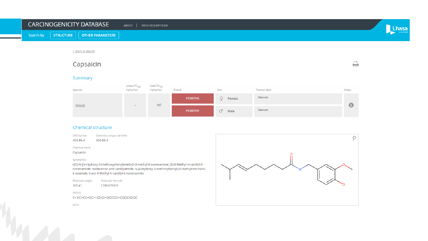#### **CARCINOGENICITY DATABASE** ABOUT | FIELD DESCRIPTIONS Lhasa **STRUCTURE** Search by **OTHER PARAMETERS** < Back to results ₿ Capsaicin Summary Gold TD<sub>50</sub> Lhasa  $TD_{50}$ Result Sex Species (mg/kg/day) (mg/kg/day) Tumour sites Notes



#### Chemical structure

**CAS Number** Chemistry unique identifier Q 404-86-4 404-86-4 Chemical name Capsaicin Synonym(s) (6E)-N-[(4-Hydroxy-3-methoxyphenyl)methyl]-8-methyl-6-nonenamide; (E)-8-Methyl-N-vanillyl-6nonenamide; Isodecenoic acid vanillylamide; N-(4-Hydroxy-3-methoxybenzyl)-8-methylnon-trans-6-enamide; trans-8-Methyl-N-vanillyl-6-nonenamide Molecular weight Molecular formula 305.41 C18H27NO3 **SMILES** C=1(C(=CC=C(C=1)CNC(=O)CCCCC=CC(C)C)O)OC

InChl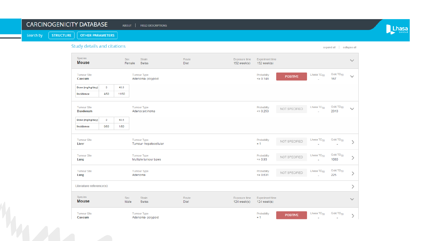#### CARCINOGENICITY DATABASE ABOUT | FIELD DESCRIPTIONS

**STRUCTURE** Search by

**OTHER PARAMETERS** 



Study details and citations

expand all collapse all

| Species<br><b>Mouse</b>        |         | <b>Sex</b>         | Strain<br>Female<br>Swiss                   | Route<br>Diet        | Exposure time<br>152 week(s) | <b>Experiment time</b><br>152 week(s) |                 |                        |                                                   | $\checkmark$  |
|--------------------------------|---------|--------------------|---------------------------------------------|----------------------|------------------------------|---------------------------------------|-----------------|------------------------|---------------------------------------------------|---------------|
| <b>Tumour Site</b><br>Caecum   |         |                    | Tumour Type<br>Adenoma-polypoid             |                      |                              | Probability<br>$\leq 0.148$           | <b>POSITIVE</b> | Lhasa TD <sub>50</sub> | Gold TD <sub>50</sub><br>167                      | $\checkmark$  |
| Dose (mg/kg/day)               | $\circ$ | 40.6               |                                             |                      |                              |                                       |                 |                        |                                                   |               |
| Incidence                      | 4/50    | 11/50              |                                             |                      |                              |                                       |                 |                        |                                                   |               |
| <b>Tumour Site</b><br>Duodenum |         |                    | <b>Tumour Type</b><br>Adenocarcinoma        |                      |                              | Probability<br>$\leq 0.253$           | NOT SPECIFIED   | Lhasa TD <sub>50</sub> | Gold TD <sub>50</sub><br>2310                     | $\checkmark$  |
| Dose (mg/kg/day)               | 0       | 40.6               |                                             |                      |                              |                                       |                 |                        |                                                   |               |
| Incidence                      | 0/50    | 1/50               |                                             |                      |                              |                                       |                 |                        |                                                   |               |
| <b>Tumour Site</b><br>Liver    |         |                    | <b>Tumour Type</b><br>Tumour-hepatocellular |                      |                              | Probability<br>$= 1$                  | NOT SPECIFIED   | Lhasa TD <sub>50</sub> | Gold TD <sub>50</sub>                             |               |
| <b>Tumour Site</b><br>Lung     |         |                    | <b>Tumour Type</b><br>Multiple tumour types |                      |                              | Probability<br>$\leq 0.93$            | NOT SPECIFIED   | Lhasa TD <sub>50</sub> | Gold TD <sub>50</sub><br>1080                     | ⋋             |
| <b>Tumour Site</b><br>Lung     |         |                    | <b>Tumour Type</b><br>Adenoma               |                      |                              | Probability<br>$\leq 0.631$           | NOT SPECIFIED   | Lhasa TD <sub>50</sub> | Gold TD <sub>50</sub><br>225                      | ↘             |
| Literature reference(s)        |         |                    |                                             |                      |                              |                                       |                 |                        |                                                   | $\mathcal{P}$ |
| Species<br><b>Mouse</b>        |         | <b>Sex</b><br>Male | <b>Strain</b><br><b>Swiss</b>               | Route<br><b>Diet</b> | Exposure time<br>124 week(s) | <b>Experiment time</b><br>124 week(s) |                 |                        |                                                   | $\checkmark$  |
| <b>Tumour Site</b><br>Caecum   |         |                    | <b>Tumour Type</b><br>Adenoma- polypoid     |                      |                              | Probability<br>$= 1$                  | <b>POSITIVE</b> | Lhasa TD <sub>50</sub> | Gold TD <sub>50</sub><br>$\overline{\phantom{a}}$ |               |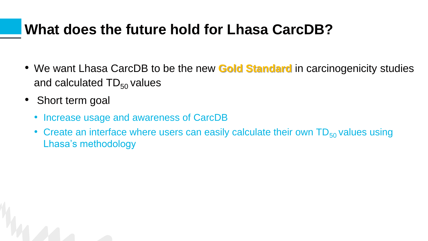### **What does the future hold for Lhasa CarcDB?**

- We want Lhasa CarcDB to be the new **Gold Standard** in carcinogenicity studies and calculated  $TD_{50}$  values
- Short term goal
	- Increase usage and awareness of CarcDB
	- Create an interface where users can easily calculate their own  $TD_{50}$  values using Lhasa's methodology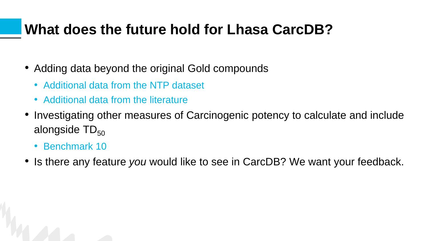### **What does the future hold for Lhasa CarcDB?**

- Adding data beyond the original Gold compounds
	- Additional data from the NTP dataset
	- Additional data from the literature
- Investigating other measures of Carcinogenic potency to calculate and include alongside  $TD_{50}$ 
	- Benchmark 10
- Is there any feature *you* would like to see in CarcDB? We want your feedback.